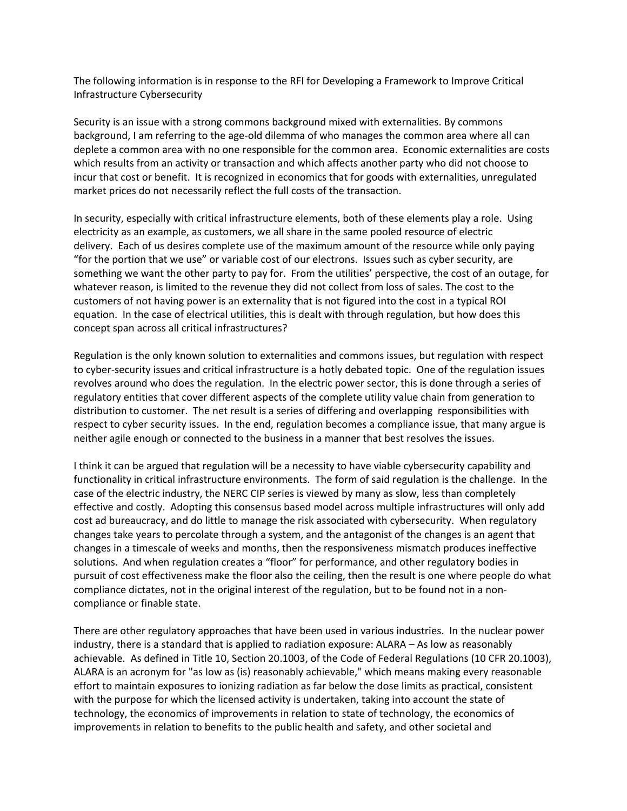The following information is in response to the RFI for Developing a Framework to Improve Critical Infrastructure Cybersecurity

Security is an issue with a strong commons background mixed with externalities. By commons background, I am referring to the age-old dilemma of who manages the common area where all can deplete a common area with no one responsible for the common area. Economic externalities are costs which results from an activity or transaction and which affects another party who did not choose to incur that cost or benefit. It is recognized in economics that for goods with externalities, unregulated market prices do not necessarily reflect the full costs of the transaction.

In security, especially with critical infrastructure elements, both of these elements play a role. Using electricity as an example, as customers, we all share in the same pooled resource of electric delivery. Each of us desires complete use of the maximum amount of the resource while only paying "for the portion that we use" or variable cost of our electrons. Issues such as cyber security, are something we want the other party to pay for. From the utilities' perspective, the cost of an outage, for whatever reason, is limited to the revenue they did not collect from loss of sales. The cost to the customers of not having power is an externality that is not figured into the cost in a typical ROI equation. In the case of electrical utilities, this is dealt with through regulation, but how does this concept span across all critical infrastructures?

Regulation is the only known solution to externalities and commons issues, but regulation with respect to cyber-security issues and critical infrastructure is a hotly debated topic. One of the regulation issues revolves around who does the regulation. In the electric power sector, this is done through a series of regulatory entities that cover different aspects of the complete utility value chain from generation to distribution to customer. The net result is a series of differing and overlapping responsibilities with respect to cyber security issues. In the end, regulation becomes a compliance issue, that many argue is neither agile enough or connected to the business in a manner that best resolves the issues.

I think it can be argued that regulation will be a necessity to have viable cybersecurity capability and functionality in critical infrastructure environments. The form of said regulation is the challenge. In the case of the electric industry, the NERC CIP series is viewed by many as slow, less than completely effective and costly. Adopting this consensus based model across multiple infrastructures will only add cost ad bureaucracy, and do little to manage the risk associated with cybersecurity. When regulatory changes take years to percolate through a system, and the antagonist of the changes is an agent that changes in a timescale of weeks and months, then the responsiveness mismatch produces ineffective solutions. And when regulation creates a "floor" for performance, and other regulatory bodies in pursuit of cost effectiveness make the floor also the ceiling, then the result is one where people do what compliance dictates, not in the original interest of the regulation, but to be found not in a noncompliance or finable state.

There are other regulatory approaches that have been used in various industries. In the nuclear power industry, there is a standard that is applied to radiation exposure: ALARA – As low as reasonably achievable. As defined in Title 10, Section 20.1003, of the Code of Federal Regulations (10 CFR 20.1003), ALARA is an acronym for "as low as (is) reasonably achievable," which means making every reasonable effort to maintain exposures to ionizing radiation as far below the dose limits as practical, consistent with the purpose for which the licensed activity is undertaken, taking into account the state of technology, the economics of improvements in relation to state of technology, the economics of improvements in relation to benefits to the public health and safety, and other societal and